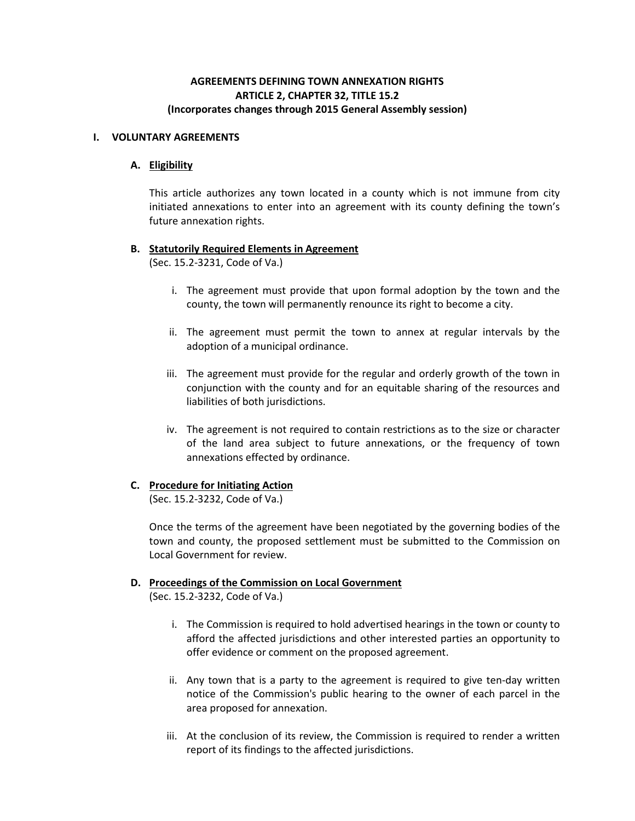# **AGREEMENTS DEFINING TOWN ANNEXATION RIGHTS ARTICLE 2, CHAPTER 32, TITLE 15.2 (Incorporates changes through 2015 General Assembly session)**

### **I. VOLUNTARY AGREEMENTS**

## **A. Eligibility**

This article authorizes any town located in a county which is not immune from city initiated annexations to enter into an agreement with its county defining the town's future annexation rights.

## **B. Statutorily Required Elements in Agreement**

(Sec. 15.2-3231, Code of Va.)

- i. The agreement must provide that upon formal adoption by the town and the county, the town will permanently renounce its right to become a city.
- ii. The agreement must permit the town to annex at regular intervals by the adoption of a municipal ordinance.
- iii. The agreement must provide for the regular and orderly growth of the town in conjunction with the county and for an equitable sharing of the resources and liabilities of both jurisdictions.
- iv. The agreement is not required to contain restrictions as to the size or character of the land area subject to future annexations, or the frequency of town annexations effected by ordinance.

# **C. Procedure for Initiating Action**

(Sec. 15.2-3232, Code of Va.)

Once the terms of the agreement have been negotiated by the governing bodies of the town and county, the proposed settlement must be submitted to the Commission on Local Government for review.

# **D. Proceedings of the Commission on Local Government**

(Sec. 15.2-3232, Code of Va.)

- i. The Commission is required to hold advertised hearings in the town or county to afford the affected jurisdictions and other interested parties an opportunity to offer evidence or comment on the proposed agreement.
- ii. Any town that is a party to the agreement is required to give ten-day written notice of the Commission's public hearing to the owner of each parcel in the area proposed for annexation.
- iii. At the conclusion of its review, the Commission is required to render a written report of its findings to the affected jurisdictions.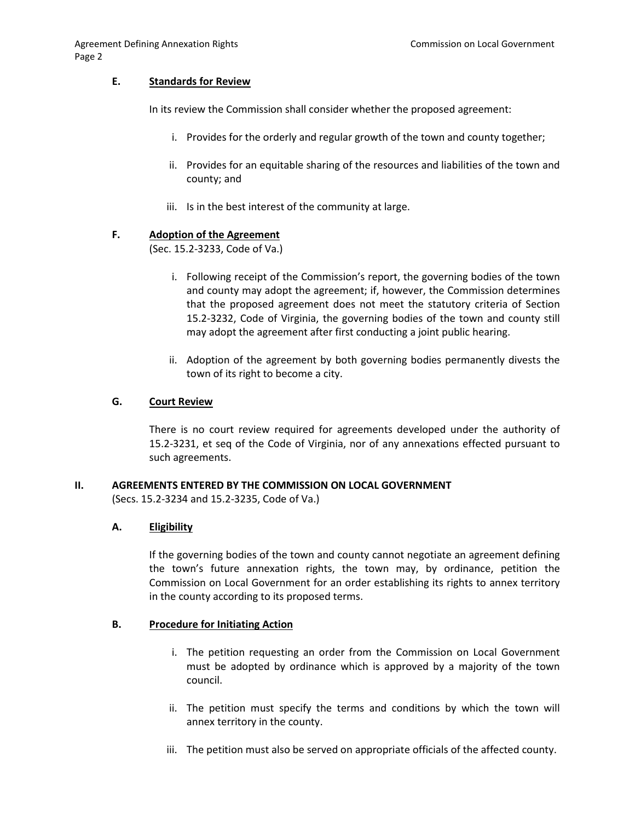### **E. Standards for Review**

In its review the Commission shall consider whether the proposed agreement:

- i. Provides for the orderly and regular growth of the town and county together;
- ii. Provides for an equitable sharing of the resources and liabilities of the town and county; and
- iii. Is in the best interest of the community at large.

## **F. Adoption of the Agreement**

(Sec. 15.2-3233, Code of Va.)

- i. Following receipt of the Commission's report, the governing bodies of the town and county may adopt the agreement; if, however, the Commission determines that the proposed agreement does not meet the statutory criteria of Section 15.2-3232, Code of Virginia, the governing bodies of the town and county still may adopt the agreement after first conducting a joint public hearing.
- ii. Adoption of the agreement by both governing bodies permanently divests the town of its right to become a city.

## **G. Court Review**

There is no court review required for agreements developed under the authority of 15.2-3231, et seq of the Code of Virginia, nor of any annexations effected pursuant to such agreements.

#### **II. AGREEMENTS ENTERED BY THE COMMISSION ON LOCAL GOVERNMENT**

(Secs. 15.2-3234 and 15.2-3235, Code of Va.)

# **A. Eligibility**

If the governing bodies of the town and county cannot negotiate an agreement defining the town's future annexation rights, the town may, by ordinance, petition the Commission on Local Government for an order establishing its rights to annex territory in the county according to its proposed terms.

#### **B. Procedure for Initiating Action**

- i. The petition requesting an order from the Commission on Local Government must be adopted by ordinance which is approved by a majority of the town council.
- ii. The petition must specify the terms and conditions by which the town will annex territory in the county.
- iii. The petition must also be served on appropriate officials of the affected county.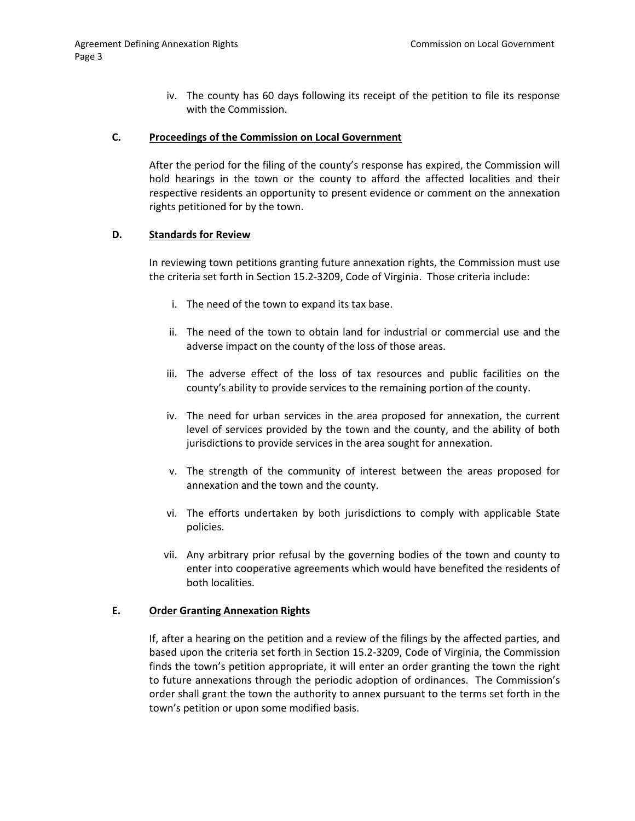iv. The county has 60 days following its receipt of the petition to file its response with the Commission.

## **C. Proceedings of the Commission on Local Government**

After the period for the filing of the county's response has expired, the Commission will hold hearings in the town or the county to afford the affected localities and their respective residents an opportunity to present evidence or comment on the annexation rights petitioned for by the town.

#### **D. Standards for Review**

In reviewing town petitions granting future annexation rights, the Commission must use the criteria set forth in Section 15.2-3209, Code of Virginia. Those criteria include:

- i. The need of the town to expand its tax base.
- ii. The need of the town to obtain land for industrial or commercial use and the adverse impact on the county of the loss of those areas.
- iii. The adverse effect of the loss of tax resources and public facilities on the county's ability to provide services to the remaining portion of the county.
- iv. The need for urban services in the area proposed for annexation, the current level of services provided by the town and the county, and the ability of both jurisdictions to provide services in the area sought for annexation.
- v. The strength of the community of interest between the areas proposed for annexation and the town and the county.
- vi. The efforts undertaken by both jurisdictions to comply with applicable State policies.
- vii. Any arbitrary prior refusal by the governing bodies of the town and county to enter into cooperative agreements which would have benefited the residents of both localities.

#### **E. Order Granting Annexation Rights**

If, after a hearing on the petition and a review of the filings by the affected parties, and based upon the criteria set forth in Section 15.2-3209, Code of Virginia, the Commission finds the town's petition appropriate, it will enter an order granting the town the right to future annexations through the periodic adoption of ordinances. The Commission's order shall grant the town the authority to annex pursuant to the terms set forth in the town's petition or upon some modified basis.